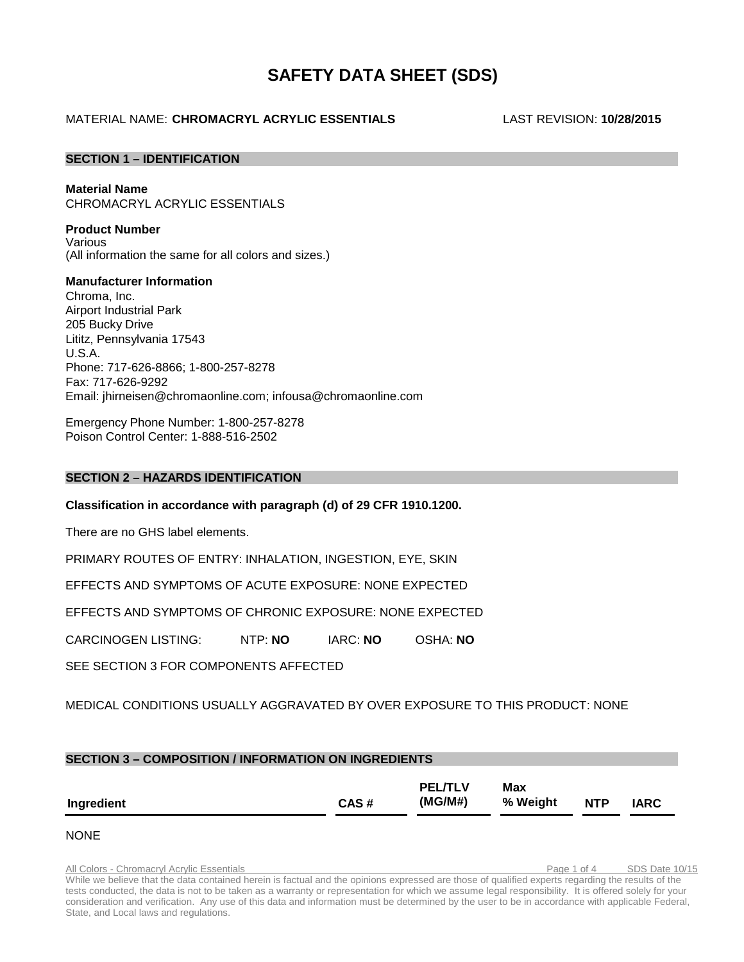# **SAFETY DATA SHEET (SDS)**

## MATERIAL NAME: **CHROMACRYL ACRYLIC ESSENTIALS** LAST REVISION: **10/28/2015**

## **SECTION 1 – IDENTIFICATION**

## **Material Name**

CHROMACRYL ACRYLIC ESSENTIALS

## **Product Number**

Various (All information the same for all colors and sizes.)

## **Manufacturer Information** Chroma, Inc. Airport Industrial Park 205 Bucky Drive Lititz, Pennsylvania 17543 U.S.A. Phone: 717-626-8866; 1-800-257-8278 Fax: 717-626-9292 Email: [jhirneisen@chromaonline.com;](mailto:jhirneisen@chromaonline.com) infousa@chromaonline.com

Emergency Phone Number: 1-800-257-8278 Poison Control Center: 1-888-516-2502

## **SECTION 2 – HAZARDS IDENTIFICATION**

**Classification in accordance with paragraph (d) of 29 CFR 1910.1200.**

There are no GHS label elements.

PRIMARY ROUTES OF ENTRY: INHALATION, INGESTION, EYE, SKIN

EFFECTS AND SYMPTOMS OF ACUTE EXPOSURE: NONE EXPECTED

EFFECTS AND SYMPTOMS OF CHRONIC EXPOSURE: NONE EXPECTED

CARCINOGEN LISTING: NTP: **NO** IARC: **NO** OSHA: **NO**

SEE SECTION 3 FOR COMPONENTS AFFECTED

## MEDICAL CONDITIONS USUALLY AGGRAVATED BY OVER EXPOSURE TO THIS PRODUCT: NONE

| <b>SECTION 3 - COMPOSITION / INFORMATION ON INGREDIENTS</b> |      |                           |                 |            |             |
|-------------------------------------------------------------|------|---------------------------|-----------------|------------|-------------|
| Ingredient                                                  | CAS# | <b>PEL/TLV</b><br>(MG/M#) | Max<br>% Weight | <b>NTP</b> | <b>IARC</b> |

## NONE

All Colors - Chromacryl Acrylic Essentials Page 1 of 4 SDS Date 10/15 While we believe that the data contained herein is factual and the opinions expressed are those of qualified experts regarding the results of the tests conducted, the data is not to be taken as a warranty or representation for which we assume legal responsibility. It is offered solely for your consideration and verification. Any use of this data and information must be determined by the user to be in accordance with applicable Federal, State, and Local laws and regulations.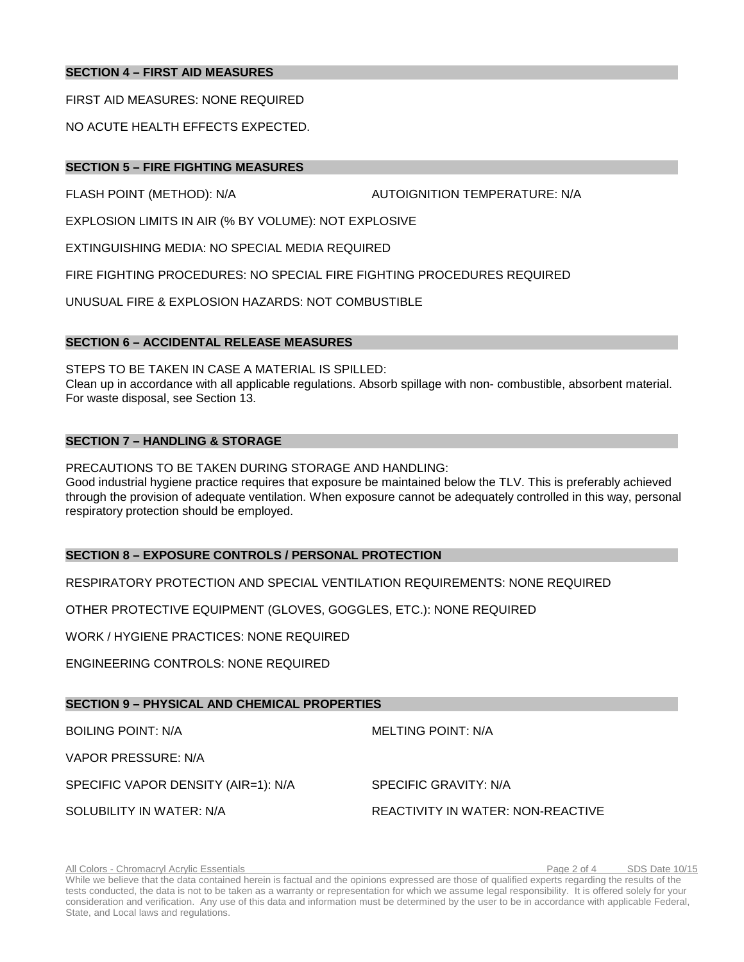## **SECTION 4 – FIRST AID MEASURES**

FIRST AID MEASURES: NONE REQUIRED

NO ACUTE HEALTH EFFECTS EXPECTED.

## **SECTION 5 – FIRE FIGHTING MEASURES**

FLASH POINT (METHOD): N/A AUTOIGNITION TEMPERATURE: N/A

EXPLOSION LIMITS IN AIR (% BY VOLUME): NOT EXPLOSIVE

EXTINGUISHING MEDIA: NO SPECIAL MEDIA REQUIRED

FIRE FIGHTING PROCEDURES: NO SPECIAL FIRE FIGHTING PROCEDURES REQUIRED

UNUSUAL FIRE & EXPLOSION HAZARDS: NOT COMBUSTIBLE

## **SECTION 6 – ACCIDENTAL RELEASE MEASURES**

STEPS TO BE TAKEN IN CASE A MATERIAL IS SPILLED: Clean up in accordance with all applicable regulations. Absorb spillage with non- combustible, absorbent material. For waste disposal, see Section 13.

## **SECTION 7 – HANDLING & STORAGE**

PRECAUTIONS TO BE TAKEN DURING STORAGE AND HANDLING:

Good industrial hygiene practice requires that exposure be maintained below the TLV. This is preferably achieved through the provision of adequate ventilation. When exposure cannot be adequately controlled in this way, personal respiratory protection should be employed.

## **SECTION 8 – EXPOSURE CONTROLS / PERSONAL PROTECTION**

RESPIRATORY PROTECTION AND SPECIAL VENTILATION REQUIREMENTS: NONE REQUIRED

OTHER PROTECTIVE EQUIPMENT (GLOVES, GOGGLES, ETC.): NONE REQUIRED

WORK / HYGIENE PRACTICES: NONE REQUIRED

ENGINEERING CONTROLS: NONE REQUIRED

## **SECTION 9 – PHYSICAL AND CHEMICAL PROPERTIES**

BOILING POINT: N/A MELTING POINT: N/A

VAPOR PRESSURE: N/A

SPECIFIC VAPOR DENSITY (AIR=1): N/A SPECIFIC GRAVITY: N/A

SOLUBILITY IN WATER: N/A REACTIVITY IN WATER: NON-REACTIVE

All Colors - Chromacryl Acrylic Essentials Page 2 of 4 SDS Date 10/15

While we believe that the data contained herein is factual and the opinions expressed are those of qualified experts regarding the results of the tests conducted, the data is not to be taken as a warranty or representation for which we assume legal responsibility. It is offered solely for your consideration and verification. Any use of this data and information must be determined by the user to be in accordance with applicable Federal, State, and Local laws and regulations.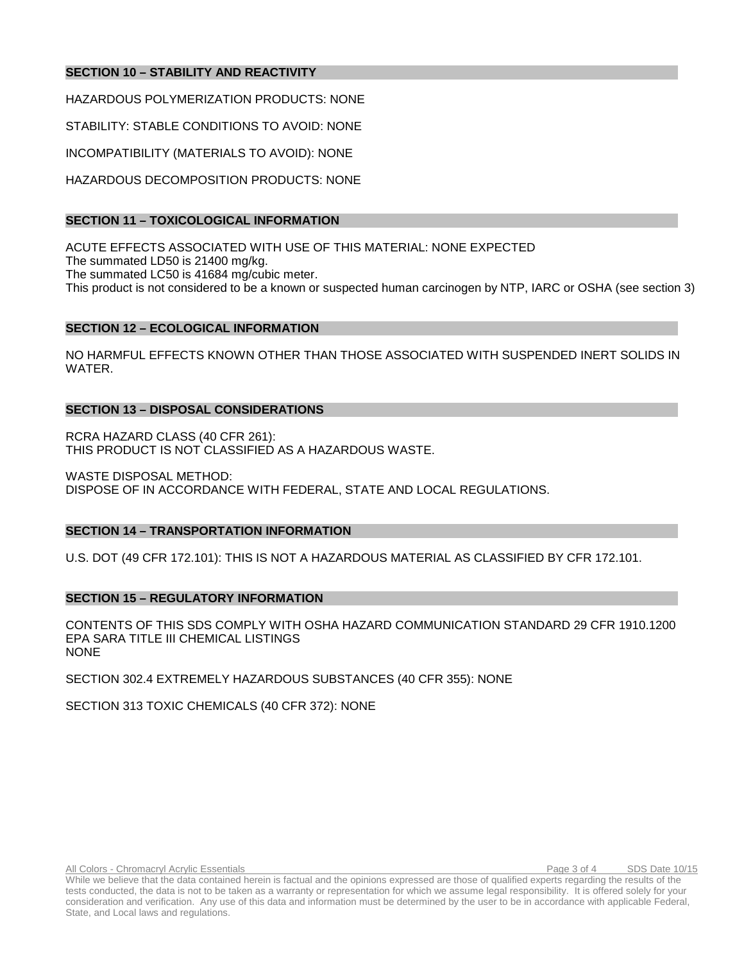## **SECTION 10 – STABILITY AND REACTIVITY**

HAZARDOUS POLYMERIZATION PRODUCTS: NONE

STABILITY: STABLE CONDITIONS TO AVOID: NONE

INCOMPATIBILITY (MATERIALS TO AVOID): NONE

HAZARDOUS DECOMPOSITION PRODUCTS: NONE

### **SECTION 11 – TOXICOLOGICAL INFORMATION**

ACUTE EFFECTS ASSOCIATED WITH USE OF THIS MATERIAL: NONE EXPECTED The summated LD50 is 21400 mg/kg. The summated LC50 is 41684 mg/cubic meter. This product is not considered to be a known or suspected human carcinogen by NTP, IARC or OSHA (see section 3)

### **SECTION 12 – ECOLOGICAL INFORMATION**

NO HARMFUL EFFECTS KNOWN OTHER THAN THOSE ASSOCIATED WITH SUSPENDED INERT SOLIDS IN WATER.

### **SECTION 13 – DISPOSAL CONSIDERATIONS**

RCRA HAZARD CLASS (40 CFR 261): THIS PRODUCT IS NOT CLASSIFIED AS A HAZARDOUS WASTE.

WASTE DISPOSAL METHOD: DISPOSE OF IN ACCORDANCE WITH FEDERAL, STATE AND LOCAL REGULATIONS.

### **SECTION 14 – TRANSPORTATION INFORMATION**

U.S. DOT (49 CFR 172.101): THIS IS NOT A HAZARDOUS MATERIAL AS CLASSIFIED BY CFR 172.101.

### **SECTION 15 – REGULATORY INFORMATION**

CONTENTS OF THIS SDS COMPLY WITH OSHA HAZARD COMMUNICATION STANDARD 29 CFR 1910.1200 EPA SARA TITLE III CHEMICAL LISTINGS NONE

SECTION 302.4 EXTREMELY HAZARDOUS SUBSTANCES (40 CFR 355): NONE

SECTION 313 TOXIC CHEMICALS (40 CFR 372): NONE

While we believe that the data contained herein is factual and the opinions expressed are those of qualified experts regarding the results of the tests conducted, the data is not to be taken as a warranty or representation for which we assume legal responsibility. It is offered solely for your consideration and verification. Any use of this data and information must be determined by the user to be in accordance with applicable Federal, State, and Local laws and regulations.